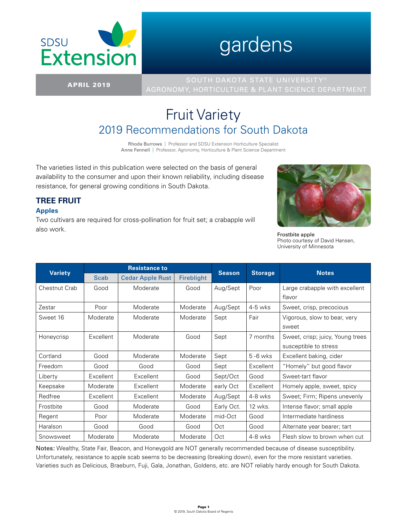

# gardens

**TREE FRUIT**

**Apples**

also work.

APRIL 2019 AGRONOMY, HORTICULTURE & PLANT SCIENCE DEPARTMENT

# Fruit Variety 2019 Recommendations for South Dakota

Rhoda Burrows | Professor and SDSU Extension Horticulture Specialist Anne Fennell | Professor, Agronomy, Horticulture & Plant Science Department

The varieties listed in this publication were selected on the basis of general availability to the consumer and upon their known reliability, including disease resistance, for general growing conditions in South Dakota.

Two cultivars are required for cross-pollination for fruit set; a crabapple will



Frostbite apple Photo courtesy of David Hansen, University of Minnesota

| <b>Variety</b> |           | <b>Resistance to</b>    |                   | <b>Season</b> |                | <b>Notes</b>                     |  |
|----------------|-----------|-------------------------|-------------------|---------------|----------------|----------------------------------|--|
|                | Scab      | <b>Cedar Apple Rust</b> | <b>Fireblight</b> |               | <b>Storage</b> |                                  |  |
| Chestnut Crab  | Good      | Moderate                | Good              | Aug/Sept      | Poor           | Large crabapple with excellent   |  |
|                |           |                         |                   |               |                | flavor                           |  |
| Zestar         | Poor      | Moderate                | Moderate          | Aug/Sept      | $4-5$ wks      | Sweet, crisp, precocious         |  |
| Sweet 16       | Moderate  | Moderate                | Moderate          | Sept          | Fair           | Vigorous, slow to bear, very     |  |
|                |           |                         |                   |               |                | sweet                            |  |
| Honeycrisp     | Excellent | Moderate                | Good              | Sept          | 7 months       | Sweet, crisp; juicy, Young trees |  |
|                |           |                         |                   |               |                | susceptible to stress            |  |
| Cortland       | Good      | Moderate                | Moderate          | Sept          | $5 - 6$ wks    | Excellent baking, cider          |  |
| Freedom        | Good      | Good                    | Good              | Sept          | Excellent      | "Homely" but good flavor         |  |
| Liberty        | Excellent | Excellent               | Good              | Sept/Oct      | Good           | Sweet-tart flavor                |  |
| Keepsake       | Moderate  | Excellent               | Moderate          | early Oct     | Excellent      | Homely apple, sweet, spicy       |  |
| Redfree        | Excellent | Excellent               | Moderate          | Aug/Sept      | 4-8 wks        | Sweet; Firm; Ripens unevenly     |  |
| Frostbite      | Good      | Moderate                | Good              | Early Oct.    | 12 wks.        | Intense flavor; small apple      |  |
| Regent         | Poor      | Moderate                | Moderate          | mid-Oct       | Good           | Intermediate hardiness           |  |
| Haralson       | Good      | Good                    | Good              | Oct           | Good           | Alternate year bearer; tart      |  |
| Snowsweet      | Moderate  | Moderate                | Moderate          | Oct           | 4-8 wks        | Flesh slow to brown when cut     |  |

Notes: Wealthy, State Fair, Beacon, and Honeygold are NOT generally recommended because of disease susceptibility. Unfortunately, resistance to apple scab seems to be decreasing (breaking down), even for the more resistant varieties. Varieties such as Delicious, Braeburn, Fuji, Gala, Jonathan, Goldens, etc. are NOT reliably hardy enough for South Dakota.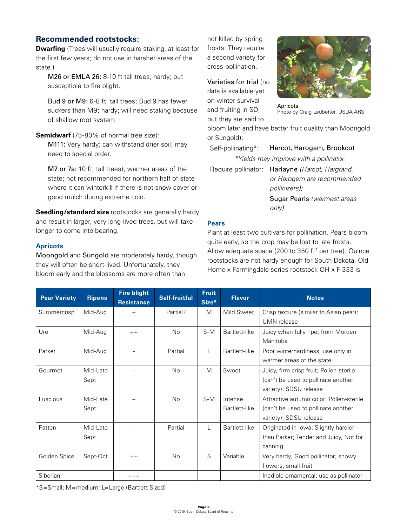### **Recommended rootstocks:**

**Dwarfing** (Trees will usually require staking, at least for the first few years; do not use in harsher areas of the state.)

M26 or EMLA 26: 8-10 ft tall trees; hardy; but susceptible to fire blight.

Bud 9 or M9: 6-8 ft. tall trees; Bud 9 has fewer suckers than M9; hardy; will need staking because of shallow root system

**Semidwarf** (75-80% of normal tree size): M111: Very hardy; can withstand drier soil; may need to special order.

M7 or 7a: 10 ft. tall trees); warmer areas of the state; not recommended for northern half of state where it can winterkill if there is not snow cover or good mulch during extreme cold.

**Seedling/standard size** rootstocks are generally hardy and result in larger, very long-lived trees, but will take longer to come into bearing.

#### **Apricots**

Moongold and Sungold are moderately hardy, though they will often be short-lived. Unfortunately, they bloom early and the blossoms are more often than

not killed by spring frosts. They require a second variety for cross-pollination.

Varieties for trial (no data is available yet on winter survival and fruiting in SD, but they are said to



Apricots Photo by Craig Ledbetter, USDA-ARS

bloom later and have better fruit quality than Moongold or Sungold):

Self-pollinating\*: Harcot, Harogem, Brookcot

*\*Yields may improve with a pollinator*

Require pollinator: Harlayne *(Harcot, Hargrand, or Harogem are recommended pollinizers);*

Sugar Pearls *(warmest areas only)*

#### **Pears**

Plant at least two cultivars for pollination. Pears bloom quite early, so the crop may be lost to late frosts. Allow adequate space (200 to 350  $ft<sup>2</sup>$  per tree). Quince rootstocks are not hardy enough for South Dakota. Old Home x Farmingdale series rootstock OH x F 333 is

| <b>Pear Variety</b> | <b>Ripens</b> | <b>Fire blight</b><br><b>Resistance</b> | <b>Self-fruitful</b> | <b>Fruit</b><br>Size* | <b>Flavor</b> | <b>Notes</b>                            |
|---------------------|---------------|-----------------------------------------|----------------------|-----------------------|---------------|-----------------------------------------|
| Summercrisp         | Mid-Aug       | $^{+}$                                  | Partial?             | M                     | Mild Sweet    | Crisp texture (similar to Asian pear);  |
|                     |               |                                         |                      |                       |               | UMN release                             |
| Ure                 | Mid-Aug       | $++$                                    | N <sub>o</sub>       | $S-M$                 | Bartlett-like | Juicy when fully ripe; from Morden      |
|                     |               |                                         |                      |                       |               | Manitoba                                |
| Parker              | Mid-Aug       |                                         | Partial              | L                     | Bartlett-like | Poor winterhardiness, use only in       |
|                     |               |                                         |                      |                       |               | warmer areas of the state               |
| Gourmet             | Mid-Late      | $^{+}$                                  | <b>No</b>            | M                     | Sweet         | Juicy, firm crisp fruit; Pollen-sterile |
|                     | Sept          |                                         |                      |                       |               | (can't be used to pollinate another     |
|                     |               |                                         |                      |                       |               | variety); SDSU release                  |
| Luscious            | Mid-Late      | $^{+}$                                  | N <sub>o</sub>       | $S-M$                 | Intense       | Attractive autumn color; Pollen-sterile |
|                     | Sept          |                                         |                      |                       | Bartlett-like | (can't be used to pollinate another     |
|                     |               |                                         |                      |                       |               | variety); SDSU release                  |
| Patten              | Mid-Late      |                                         | Partial              | L                     | Bartlett-like | Originated in Iowa; Slightly hardier    |
|                     | Sept          |                                         |                      |                       |               | than Parker; Tender and Juicy, Not for  |
|                     |               |                                         |                      |                       |               | canning                                 |
| Golden Spice        | Sept-Oct      | $++$                                    | N <sub>o</sub>       | S                     | Variable      | Very hardy; Good pollinator; showy      |
|                     |               |                                         |                      |                       |               | flowers; small fruit                    |
| Siberian            |               | $+++$                                   |                      |                       |               | Inedible ornamental; use as pollinator  |

\*S=Small; M=medium; L=Large (Bartlett Sized)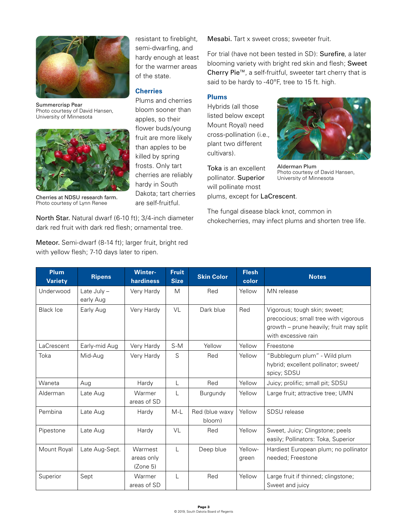

Summercrisp Pear Photo courtesy of David Hansen, University of Minnesota



Cherries at NDSU research farm. Photo courtesy of Lynn Renee

North Star. Natural dwarf (6-10 ft); 3/4-inch diameter dark red fruit with dark red flesh; ornamental tree.

Meteor. Semi-dwarf (8-14 ft); larger fruit, bright red with yellow flesh; 7-10 days later to ripen.

resistant to fireblight, semi-dwarfing, and hardy enough at least for the warmer areas of the state.

#### **Cherries**

Plums and cherries bloom sooner than apples, so their flower buds/young fruit are more likely than apples to be killed by spring frosts. Only tart cherries are reliably hardy in South Dakota; tart cherries are self-fruitful.

Mesabi. Tart x sweet cross; sweeter fruit.

For trial (have not been tested in SD): Surefire, a later blooming variety with bright red skin and flesh; Sweet Cherry Pie™, a self-fruitful, sweeter tart cherry that is said to be hardy to -40ºF, tree to 15 ft. high.

#### **Plums**

Hybrids (all those listed below except Mount Royal) need cross-pollination (i.e., plant two different cultivars).

Toka is an excellent pollinator. Superior will pollinate most plums, except for LaCrescent.



Alderman Plum Photo courtesy of David Hansen, University of Minnesota

The fungal disease black knot, common in chokecherries, may infect plums and shorten tree life.

| <b>Plum</b><br><b>Variety</b> | <b>Ripens</b>              | <b>Winter-</b><br>hardiness       | <b>Fruit</b><br><b>Size</b> | <b>Skin Color</b>        | <b>Flesh</b><br>color | <b>Notes</b>                                                                                                                           |
|-------------------------------|----------------------------|-----------------------------------|-----------------------------|--------------------------|-----------------------|----------------------------------------------------------------------------------------------------------------------------------------|
| Underwood                     | Late July $-$<br>early Aug | Very Hardy                        | M                           | Red                      | Yellow                | MN release                                                                                                                             |
| <b>Black Ice</b>              | Early Aug                  | Very Hardy                        | <b>VL</b>                   | Dark blue                | Red                   | Vigorous; tough skin; sweet;<br>precocious; small tree with vigorous<br>growth – prune heavily; fruit may split<br>with excessive rain |
| LaCrescent                    | Early-mid Aug              | Very Hardy                        | $S-M$                       | Yellow                   | Yellow                | Freestone                                                                                                                              |
| Toka                          | Mid-Aug                    | Very Hardy                        | S                           | Red                      | Yellow                | "Bubblegum plum" - Wild plum<br>hybrid; excellent pollinator; sweet/<br>spicy; SDSU                                                    |
| Waneta                        | Aug                        | Hardy                             | L                           | Red                      | Yellow                | Juicy; prolific; small pit; SDSU                                                                                                       |
| Alderman                      | Late Aug                   | Warmer<br>areas of SD             |                             | Burgundy                 | Yellow                | Large fruit; attractive tree; UMN                                                                                                      |
| Pembina                       | Late Aug                   | Hardy                             | $M-L$                       | Red (blue waxy<br>bloom) | Yellow                | SDSU release                                                                                                                           |
| Pipestone                     | Late Aug                   | Hardy                             | VL                          | Red                      | Yellow                | Sweet, Juicy; Clingstone; peels<br>easily; Pollinators: Toka, Superior                                                                 |
| Mount Royal                   | Late Aug-Sept.             | Warmest<br>areas only<br>(Zone 5) | $\mathbf{L}$                | Deep blue                | Yellow-<br>green      | Hardiest European plum; no pollinator<br>needed; Freestone                                                                             |
| Superior                      | Sept                       | Warmer<br>areas of SD             | $\mathsf{L}$                | Red                      | Yellow                | Large fruit if thinned; clingstone;<br>Sweet and juicy                                                                                 |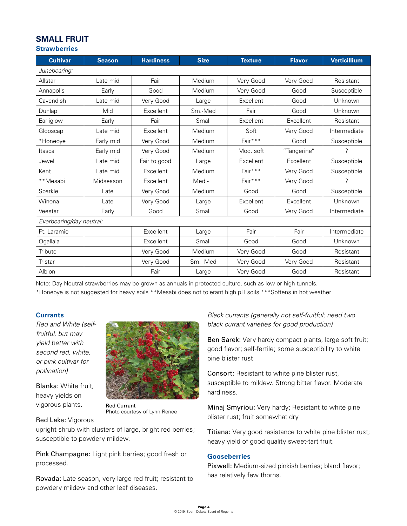# **SMALL FRUIT**

#### **Strawberries**

| <b>Cultivar</b>          | <b>Season</b> | <b>Hardiness</b> | <b>Size</b> | <b>Texture</b> | <b>Flavor</b> | <b>Verticillium</b> |  |  |  |
|--------------------------|---------------|------------------|-------------|----------------|---------------|---------------------|--|--|--|
| Junebearing:             |               |                  |             |                |               |                     |  |  |  |
| Allstar                  | Late mid      | Fair             | Medium      | Very Good      | Very Good     | Resistant           |  |  |  |
| Annapolis                | Early         | Good             | Medium      | Very Good      | Good          | Susceptible         |  |  |  |
| Cavendish                | Late mid      | Very Good        | Large       | Excellent      | Good          | Unknown             |  |  |  |
| Dunlap                   | Mid           | Excellent        | Sm.-Med     | Fair           | Good          | Unknown             |  |  |  |
| Earliglow                | Early         | Fair             | Small       | Excellent      | Excellent     | Resistant           |  |  |  |
| Glooscap                 | Late mid      | Excellent        | Medium      | Soft           | Very Good     | Intermediate        |  |  |  |
| *Honeove                 | Early mid     | Very Good        | Medium      | Fair***        | Good          | Susceptible         |  |  |  |
| Itasca                   | Early mid     | Very Good        | Medium      | Mod. soft      | "Tangerine"   | 7                   |  |  |  |
| Jewel                    | Late mid      | Fair to good     | Large       | Excellent      | Excellent     | Susceptible         |  |  |  |
| Kent                     | Late mid      | Excellent        | Medium      | Fair***        | Very Good     | Susceptible         |  |  |  |
| **Mesabi                 | Midseason     | Excellent        | Med - L     | Fair***        | Very Good     | 7                   |  |  |  |
| Sparkle                  | Late          | Very Good        | Medium      | Good           | Good          | Susceptible         |  |  |  |
| Winona                   | Late          | Very Good        | Large       | Excellent      | Excellent     | Unknown             |  |  |  |
| Veestar                  | Early         | Good             | Small       | Good           | Very Good     | Intermediate        |  |  |  |
| Everbearing/day neutral: |               |                  |             |                |               |                     |  |  |  |
| Ft. Laramie              |               | Excellent        | Large       | Fair           | Fair          | Intermediate        |  |  |  |
| Ogallala                 |               | Excellent        | Small       | Good           | Good          | Unknown             |  |  |  |
| Tribute                  |               | Very Good        | Medium      | Very Good      | Good          | Resistant           |  |  |  |
| Tristar                  |               | Very Good        | Sm.-Med     | Very Good      | Very Good     | Resistant           |  |  |  |
| Albion                   |               | Fair             | Large       | Very Good      | Good          | Resistant           |  |  |  |

Note: Day Neutral strawberries may be grown as annuals in protected culture, such as low or high tunnels.

\*Honeoye is not suggested for heavy soils \*\*Mesabi does not tolerant high pH soils \*\*\*Softens in hot weather

#### **Currants**

*Red and White (selffruitful, but may yield better with second red, white, or pink cultivar for pollination)*

Blanka: White fruit, heavy yields on vigorous plants.



Red Currant Photo courtesy of Lynn Renee

#### Red Lake: Vigorous

upright shrub with clusters of large, bright red berries; susceptible to powdery mildew.

Pink Champagne: Light pink berries; good fresh or processed.

Rovada: Late season, very large red fruit; resistant to powdery mildew and other leaf diseases.

*Black currants (generally not self-fruitful; need two black currant varieties for good production)*

Ben Sarek: Very hardy compact plants, large soft fruit; good flavor; self-fertile; some susceptibility to white pine blister rust

Consort: Resistant to white pine blister rust, susceptible to mildew. Strong bitter flavor. Moderate hardiness.

Minaj Smyriou: Very hardy; Resistant to white pine blister rust; fruit somewhat dry

Titiana: Very good resistance to white pine blister rust; heavy yield of good quality sweet-tart fruit.

#### **Gooseberries**

Pixwell: Medium-sized pinkish berries; bland flavor; has relatively few thorns.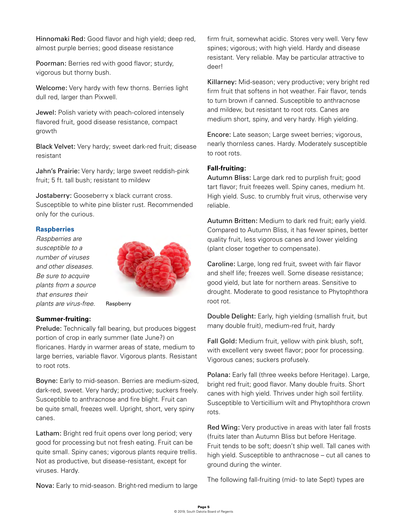Hinnomaki Red: Good flavor and high yield; deep red, almost purple berries; good disease resistance

Poorman: Berries red with good flavor; sturdy, vigorous but thorny bush.

Welcome: Very hardy with few thorns. Berries light dull red, larger than Pixwell.

Jewel: Polish variety with peach-colored intensely flavored fruit, good disease resistance, compact growth

Black Velvet: Very hardy; sweet dark-red fruit; disease resistant

Jahn's Prairie: Very hardy; large sweet reddish-pink fruit; 5 ft. tall bush; resistant to mildew

Jostaberry: Gooseberry x black currant cross. Susceptible to white pine blister rust. Recommended only for the curious.

#### **Raspberries**

*Raspberries are susceptible to a number of viruses and other diseases. Be sure to acquire plants from a source that ensures their plants are virus-free.*



Raspberry

#### **Summer-fruiting:**

Prelude: Technically fall bearing, but produces biggest portion of crop in early summer (late June?) on floricanes. Hardy in warmer areas of state, medium to large berries, variable flavor. Vigorous plants. Resistant to root rots.

Boyne: Early to mid-season. Berries are medium-sized, dark-red, sweet. Very hardy; productive; suckers freely. Susceptible to anthracnose and fire blight. Fruit can be quite small, freezes well. Upright, short, very spiny canes.

Latham: Bright red fruit opens over long period; very good for processing but not fresh eating. Fruit can be quite small. Spiny canes; vigorous plants require trellis. Not as productive, but disease-resistant, except for viruses. Hardy.

Nova: Early to mid-season. Bright-red medium to large

firm fruit, somewhat acidic. Stores very well. Very few spines; vigorous; with high yield. Hardy and disease resistant. Very reliable. May be particular attractive to deer!

Killarney: Mid-season; very productive; very bright red firm fruit that softens in hot weather. Fair flavor, tends to turn brown if canned. Susceptible to anthracnose and mildew, but resistant to root rots. Canes are medium short, spiny, and very hardy. High yielding.

Encore: Late season; Large sweet berries; vigorous, nearly thornless canes. Hardy. Moderately susceptible to root rots.

#### **Fall-fruiting:**

Autumn Bliss: Large dark red to purplish fruit; good tart flavor; fruit freezes well. Spiny canes, medium ht. High yield. Susc. to crumbly fruit virus, otherwise very reliable.

Autumn Britten: Medium to dark red fruit; early yield. Compared to Autumn Bliss, it has fewer spines, better quality fruit, less vigorous canes and lower yielding (plant closer together to compensate).

Caroline: Large, long red fruit, sweet with fair flavor and shelf life; freezes well. Some disease resistance; good yield, but late for northern areas. Sensitive to drought. Moderate to good resistance to Phytophthora root rot.

Double Delight: Early, high yielding (smallish fruit, but many double fruit), medium-red fruit, hardy

Fall Gold: Medium fruit, yellow with pink blush, soft, with excellent very sweet flavor; poor for processing. Vigorous canes; suckers profusely.

Polana: Early fall (three weeks before Heritage). Large, bright red fruit; good flavor. Many double fruits. Short canes with high yield. Thrives under high soil fertility. Susceptible to Verticillium wilt and Phytophthora crown rots.

Red Wing: Very productive in areas with later fall frosts (fruits later than Autumn Bliss but before Heritage. Fruit tends to be soft; doesn't ship well. Tall canes with high yield. Susceptible to anthracnose – cut all canes to ground during the winter.

The following fall-fruiting (mid- to late Sept) types are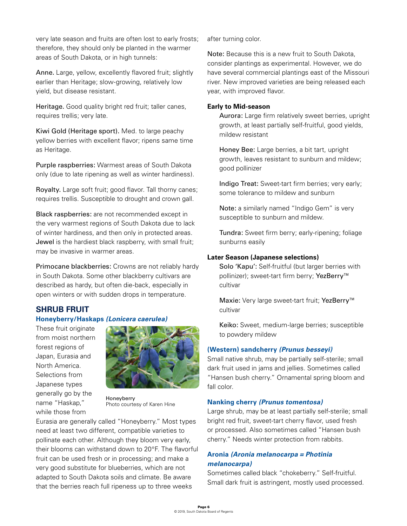very late season and fruits are often lost to early frosts; therefore, they should only be planted in the warmer areas of South Dakota, or in high tunnels:

Anne. Large, yellow, excellently flavored fruit; slightly earlier than Heritage; slow-growing, relatively low yield, but disease resistant.

Heritage. Good quality bright red fruit; taller canes, requires trellis; very late.

Kiwi Gold (Heritage sport). Med. to large peachy yellow berries with excellent flavor; ripens same time as Heritage.

Purple raspberries: Warmest areas of South Dakota only (due to late ripening as well as winter hardiness).

Royalty. Large soft fruit; good flavor. Tall thorny canes; requires trellis. Susceptible to drought and crown gall.

Black raspberries: are not recommended except in the very warmest regions of South Dakota due to lack of winter hardiness, and then only in protected areas. Jewel is the hardiest black raspberry, with small fruit; may be invasive in warmer areas.

Primocane blackberries: Crowns are not reliably hardy in South Dakota. Some other blackberry cultivars are described as hardy, but often die-back, especially in open winters or with sudden drops in temperature.

## **SHRUB FRUIT Honeyberry/Haskaps** *(Lonicera caerulea)*

These fruit originate from moist northern forest regions of Japan, Eurasia and North America. Selections from Japanese types generally go by the name "Haskap," while those from



Honeyberry Photo courtesy of Karen Hine

Eurasia are generally called "Honeyberry." Most types need at least two different, compatible varieties to pollinate each other. Although they bloom very early, their blooms can withstand down to 20°F. The flavorful fruit can be used fresh or in processing; and make a very good substitute for blueberries, which are not adapted to South Dakota soils and climate. Be aware that the berries reach full ripeness up to three weeks

after turning color.

Note: Because this is a new fruit to South Dakota, consider plantings as experimental. However, we do have several commercial plantings east of the Missouri river. New improved varieties are being released each year, with improved flavor.

#### **Early to Mid-season**

Aurora: Large firm relatively sweet berries, upright growth, at least partially self-fruitful, good yields, mildew resistant

Honey Bee: Large berries, a bit tart, upright growth, leaves resistant to sunburn and mildew; good pollinizer

Indigo Treat: Sweet-tart firm berries; very early; some tolerance to mildew and sunburn

Note: a similarly named "Indigo Gem" is very susceptible to sunburn and mildew.

Tundra: Sweet firm berry; early-ripening; foliage sunburns easily

#### **Later Season (Japanese selections)**

Solo 'Kapu': Self-fruitful (but larger berries with pollinizer); sweet-tart firm berry; YezBerry<sup>™</sup> cultivar

Maxie: Very large sweet-tart fruit; YezBerry<sup>™</sup> cultivar

Keiko: Sweet, medium-large berries; susceptible to powdery mildew

#### **(Western) sandcherry** *(Prunus besseyi)*

Small native shrub, may be partially self-sterile; small dark fruit used in jams and jellies. Sometimes called "Hansen bush cherry." Ornamental spring bloom and fall color.

#### **Nanking cherry** *(Prunus tomentosa)*

Large shrub, may be at least partially self-sterile; small bright red fruit, sweet-tart cherry flavor, used fresh or processed. Also sometimes called "Hansen bush cherry." Needs winter protection from rabbits.

#### **Aronia** *(Aronia melanocarpa = Photinia melanocarpa)*

Sometimes called black "chokeberry." Self-fruitful. Small dark fruit is astringent, mostly used processed.